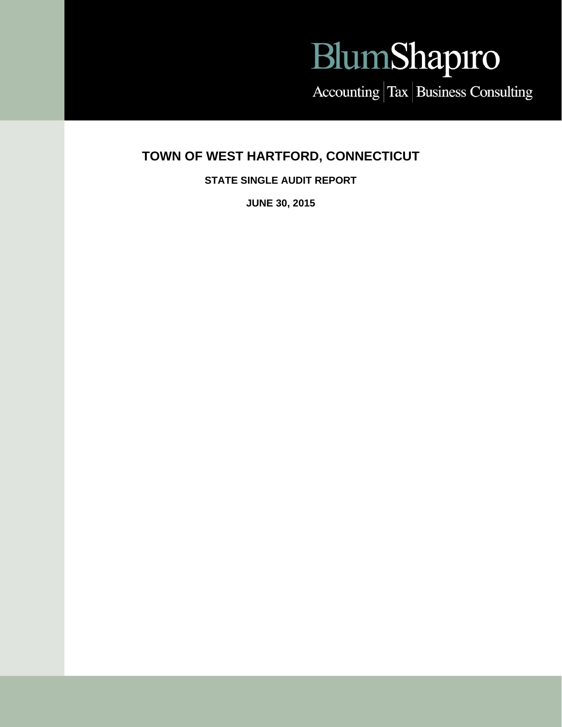# BlumShapiro

Accounting Tax Business Consulting

# **TOWN OF WEST HARTFORD, CONNECTICUT**

**STATE SINGLE AUDIT REPORT** 

**JUNE 30, 2015**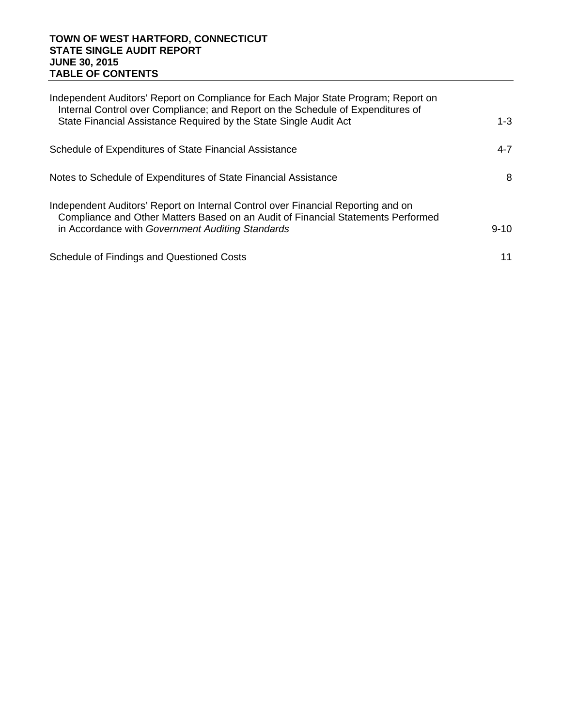#### **TOWN OF WEST HARTFORD, CONNECTICUT STATE SINGLE AUDIT REPORT JUNE 30, 2015 TABLE OF CONTENTS**

| Independent Auditors' Report on Compliance for Each Major State Program; Report on<br>Internal Control over Compliance; and Report on the Schedule of Expenditures of<br>State Financial Assistance Required by the State Single Audit Act | $1 - 3$  |
|--------------------------------------------------------------------------------------------------------------------------------------------------------------------------------------------------------------------------------------------|----------|
| Schedule of Expenditures of State Financial Assistance                                                                                                                                                                                     | $4 - 7$  |
| Notes to Schedule of Expenditures of State Financial Assistance                                                                                                                                                                            | 8        |
| Independent Auditors' Report on Internal Control over Financial Reporting and on<br>Compliance and Other Matters Based on an Audit of Financial Statements Performed<br>in Accordance with Government Auditing Standards                   | $9 - 10$ |
| Schedule of Findings and Questioned Costs                                                                                                                                                                                                  | 11       |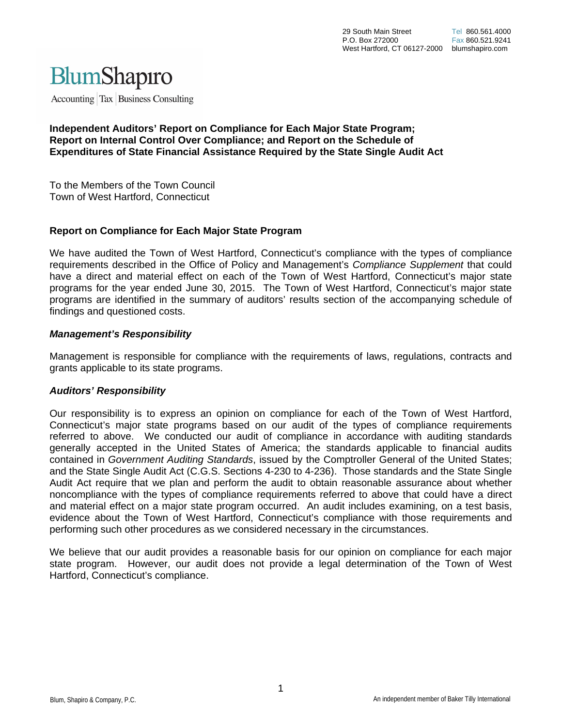

Accounting Tax Business Consulting

### **Independent Auditors' Report on Compliance for Each Major State Program; Report on Internal Control Over Compliance; and Report on the Schedule of Expenditures of State Financial Assistance Required by the State Single Audit Act**

To the Members of the Town Council Town of West Hartford, Connecticut

#### **Report on Compliance for Each Major State Program**

We have audited the Town of West Hartford, Connecticut's compliance with the types of compliance requirements described in the Office of Policy and Management's *Compliance Supplement* that could have a direct and material effect on each of the Town of West Hartford, Connecticut's major state programs for the year ended June 30, 2015. The Town of West Hartford, Connecticut's major state programs are identified in the summary of auditors' results section of the accompanying schedule of findings and questioned costs.

#### *Management's Responsibility*

Management is responsible for compliance with the requirements of laws, regulations, contracts and grants applicable to its state programs.

#### *Auditors' Responsibility*

Our responsibility is to express an opinion on compliance for each of the Town of West Hartford, Connecticut's major state programs based on our audit of the types of compliance requirements referred to above. We conducted our audit of compliance in accordance with auditing standards generally accepted in the United States of America; the standards applicable to financial audits contained in *Government Auditing Standards*, issued by the Comptroller General of the United States; and the State Single Audit Act (C.G.S. Sections 4-230 to 4-236). Those standards and the State Single Audit Act require that we plan and perform the audit to obtain reasonable assurance about whether noncompliance with the types of compliance requirements referred to above that could have a direct and material effect on a major state program occurred. An audit includes examining, on a test basis, evidence about the Town of West Hartford, Connecticut's compliance with those requirements and performing such other procedures as we considered necessary in the circumstances.

We believe that our audit provides a reasonable basis for our opinion on compliance for each major state program. However, our audit does not provide a legal determination of the Town of West Hartford, Connecticut's compliance.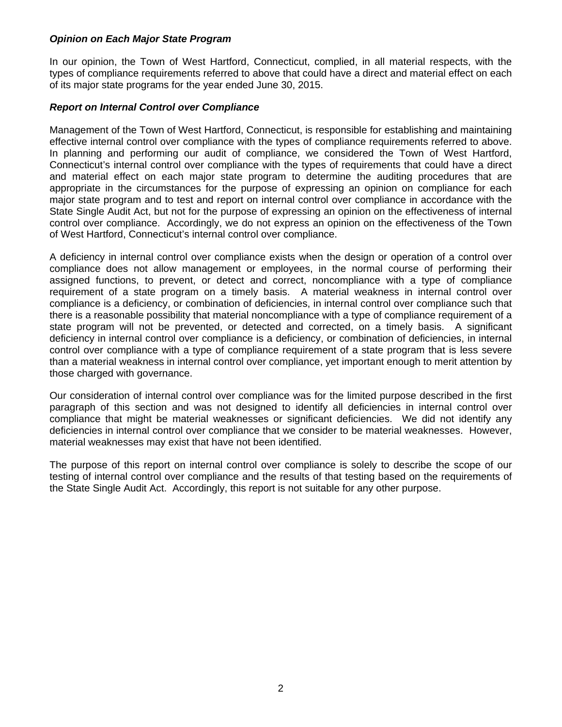# *Opinion on Each Major State Program*

In our opinion, the Town of West Hartford, Connecticut, complied, in all material respects, with the types of compliance requirements referred to above that could have a direct and material effect on each of its major state programs for the year ended June 30, 2015.

#### *Report on Internal Control over Compliance*

Management of the Town of West Hartford, Connecticut, is responsible for establishing and maintaining effective internal control over compliance with the types of compliance requirements referred to above. In planning and performing our audit of compliance, we considered the Town of West Hartford, Connecticut's internal control over compliance with the types of requirements that could have a direct and material effect on each major state program to determine the auditing procedures that are appropriate in the circumstances for the purpose of expressing an opinion on compliance for each major state program and to test and report on internal control over compliance in accordance with the State Single Audit Act, but not for the purpose of expressing an opinion on the effectiveness of internal control over compliance. Accordingly, we do not express an opinion on the effectiveness of the Town of West Hartford, Connecticut's internal control over compliance.

A deficiency in internal control over compliance exists when the design or operation of a control over compliance does not allow management or employees, in the normal course of performing their assigned functions, to prevent, or detect and correct, noncompliance with a type of compliance requirement of a state program on a timely basis. A material weakness in internal control over compliance is a deficiency, or combination of deficiencies, in internal control over compliance such that there is a reasonable possibility that material noncompliance with a type of compliance requirement of a state program will not be prevented, or detected and corrected, on a timely basis. A significant deficiency in internal control over compliance is a deficiency, or combination of deficiencies, in internal control over compliance with a type of compliance requirement of a state program that is less severe than a material weakness in internal control over compliance, yet important enough to merit attention by those charged with governance.

Our consideration of internal control over compliance was for the limited purpose described in the first paragraph of this section and was not designed to identify all deficiencies in internal control over compliance that might be material weaknesses or significant deficiencies. We did not identify any deficiencies in internal control over compliance that we consider to be material weaknesses. However, material weaknesses may exist that have not been identified.

The purpose of this report on internal control over compliance is solely to describe the scope of our testing of internal control over compliance and the results of that testing based on the requirements of the State Single Audit Act. Accordingly, this report is not suitable for any other purpose.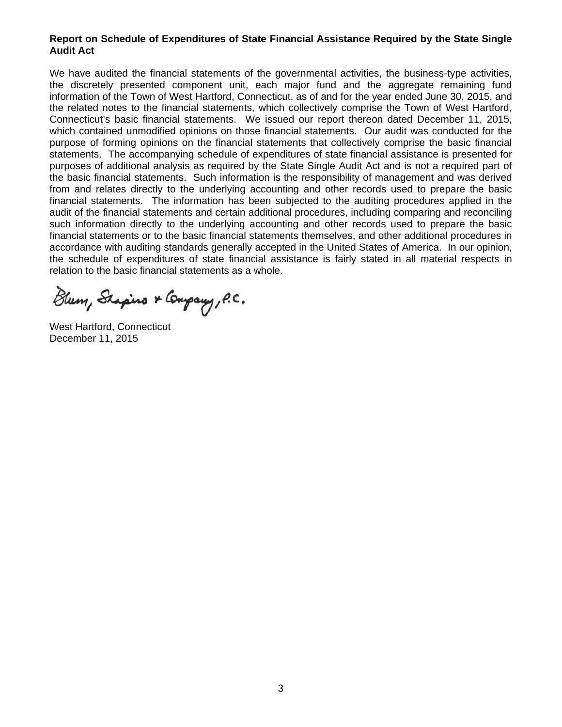#### **Report on Schedule of Expenditures of State Financial Assistance Required by the State Single Audit Act**

We have audited the financial statements of the governmental activities, the business-type activities, the discretely presented component unit, each major fund and the aggregate remaining fund information of the Town of West Hartford, Connecticut, as of and for the year ended June 30, 2015, and the related notes to the financial statements, which collectively comprise the Town of West Hartford, Connecticut's basic financial statements. We issued our report thereon dated December 11, 2015, which contained unmodified opinions on those financial statements. Our audit was conducted for the purpose of forming opinions on the financial statements that collectively comprise the basic financial statements. The accompanying schedule of expenditures of state financial assistance is presented for purposes of additional analysis as required by the State Single Audit Act and is not a required part of the basic financial statements. Such information is the responsibility of management and was derived from and relates directly to the underlying accounting and other records used to prepare the basic financial statements. The information has been subjected to the auditing procedures applied in the audit of the financial statements and certain additional procedures, including comparing and reconciling such information directly to the underlying accounting and other records used to prepare the basic financial statements or to the basic financial statements themselves, and other additional procedures in accordance with auditing standards generally accepted in the United States of America. In our opinion, the schedule of expenditures of state financial assistance is fairly stated in all material respects in relation to the basic financial statements as a whole.

Blum, Shapino & Company, P.C.

West Hartford, Connecticut December 11, 2015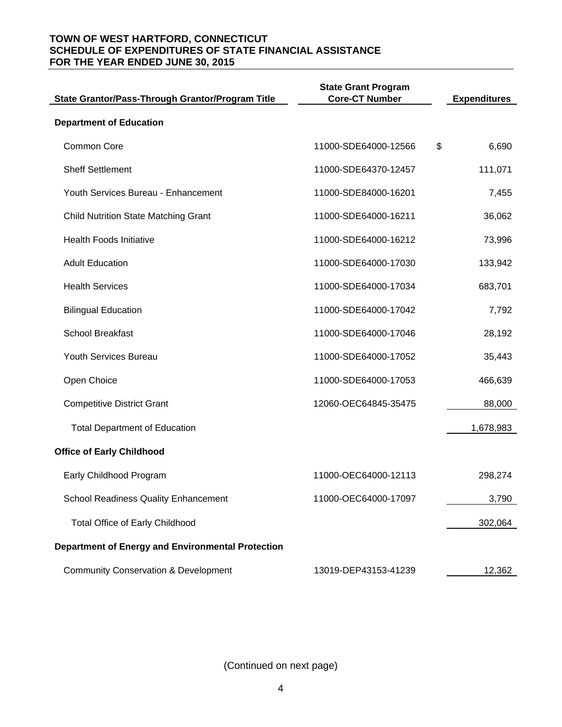# **TOWN OF WEST HARTFORD, CONNECTICUT SCHEDULE OF EXPENDITURES OF STATE FINANCIAL ASSISTANCE FOR THE YEAR ENDED JUNE 30, 2015**

| State Grantor/Pass-Through Grantor/Program Title         | <b>State Grant Program</b><br><b>Core-CT Number</b> | <b>Expenditures</b> |
|----------------------------------------------------------|-----------------------------------------------------|---------------------|
| <b>Department of Education</b>                           |                                                     |                     |
| <b>Common Core</b>                                       | 11000-SDE64000-12566                                | \$<br>6,690         |
| <b>Sheff Settlement</b>                                  | 11000-SDE64370-12457                                | 111,071             |
| Youth Services Bureau - Enhancement                      | 11000-SDE84000-16201                                | 7,455               |
| <b>Child Nutrition State Matching Grant</b>              | 11000-SDE64000-16211                                | 36,062              |
| <b>Health Foods Initiative</b>                           | 11000-SDE64000-16212                                | 73,996              |
| <b>Adult Education</b>                                   | 11000-SDE64000-17030                                | 133,942             |
| <b>Health Services</b>                                   | 11000-SDE64000-17034                                | 683,701             |
| <b>Bilingual Education</b>                               | 11000-SDE64000-17042                                | 7,792               |
| <b>School Breakfast</b>                                  | 11000-SDE64000-17046                                | 28,192              |
| <b>Youth Services Bureau</b>                             | 11000-SDE64000-17052                                | 35,443              |
| Open Choice                                              | 11000-SDE64000-17053                                | 466,639             |
| <b>Competitive District Grant</b>                        | 12060-OEC64845-35475                                | 88,000              |
| <b>Total Department of Education</b>                     |                                                     | 1,678,983           |
| <b>Office of Early Childhood</b>                         |                                                     |                     |
| Early Childhood Program                                  | 11000-OEC64000-12113                                | 298,274             |
| <b>School Readiness Quality Enhancement</b>              | 11000-OEC64000-17097                                | 3,790               |
| <b>Total Office of Early Childhood</b>                   |                                                     | 302,064             |
| <b>Department of Energy and Environmental Protection</b> |                                                     |                     |
| <b>Community Conservation &amp; Development</b>          | 13019-DEP43153-41239                                | 12,362              |

(Continued on next page)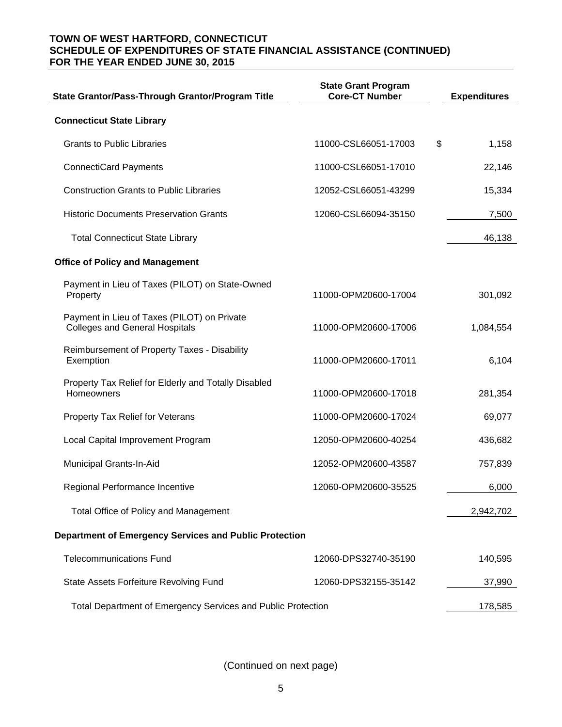# **TOWN OF WEST HARTFORD, CONNECTICUT SCHEDULE OF EXPENDITURES OF STATE FINANCIAL ASSISTANCE (CONTINUED) FOR THE YEAR ENDED JUNE 30, 2015**

| State Grantor/Pass-Through Grantor/Program Title                                     | <b>State Grant Program</b><br><b>Core-CT Number</b> | <b>Expenditures</b> |
|--------------------------------------------------------------------------------------|-----------------------------------------------------|---------------------|
| <b>Connecticut State Library</b>                                                     |                                                     |                     |
| <b>Grants to Public Libraries</b>                                                    | 11000-CSL66051-17003                                | \$<br>1,158         |
| <b>ConnectiCard Payments</b>                                                         | 11000-CSL66051-17010                                | 22,146              |
| <b>Construction Grants to Public Libraries</b>                                       | 12052-CSL66051-43299                                | 15,334              |
| <b>Historic Documents Preservation Grants</b>                                        | 12060-CSL66094-35150                                | 7,500               |
| <b>Total Connecticut State Library</b>                                               |                                                     | 46,138              |
| <b>Office of Policy and Management</b>                                               |                                                     |                     |
| Payment in Lieu of Taxes (PILOT) on State-Owned<br>Property                          | 11000-OPM20600-17004                                | 301,092             |
| Payment in Lieu of Taxes (PILOT) on Private<br><b>Colleges and General Hospitals</b> | 11000-OPM20600-17006                                | 1,084,554           |
| Reimbursement of Property Taxes - Disability<br>Exemption                            | 11000-OPM20600-17011                                | 6,104               |
| Property Tax Relief for Elderly and Totally Disabled<br>Homeowners                   | 11000-OPM20600-17018                                | 281,354             |
| <b>Property Tax Relief for Veterans</b>                                              | 11000-OPM20600-17024                                | 69,077              |
| Local Capital Improvement Program                                                    | 12050-OPM20600-40254                                | 436,682             |
| Municipal Grants-In-Aid                                                              | 12052-OPM20600-43587                                | 757,839             |
| Regional Performance Incentive                                                       | 12060-OPM20600-35525                                | 6,000               |
| Total Office of Policy and Management                                                |                                                     | 2,942,702           |
| <b>Department of Emergency Services and Public Protection</b>                        |                                                     |                     |
| <b>Telecommunications Fund</b>                                                       | 12060-DPS32740-35190                                | 140,595             |
| State Assets Forfeiture Revolving Fund                                               | 12060-DPS32155-35142                                | 37,990              |
| Total Department of Emergency Services and Public Protection                         |                                                     | 178,585             |

(Continued on next page)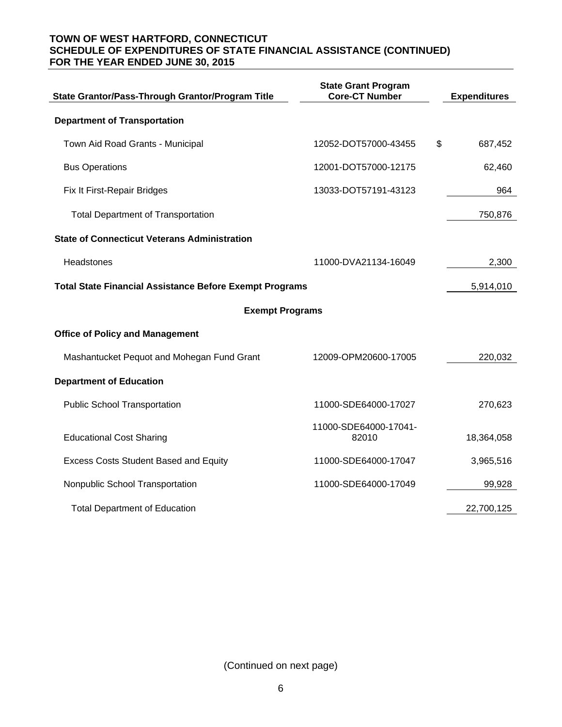# **TOWN OF WEST HARTFORD, CONNECTICUT SCHEDULE OF EXPENDITURES OF STATE FINANCIAL ASSISTANCE (CONTINUED) FOR THE YEAR ENDED JUNE 30, 2015**

| State Grantor/Pass-Through Grantor/Program Title               | <b>State Grant Program</b><br><b>Core-CT Number</b> |    | <b>Expenditures</b> |
|----------------------------------------------------------------|-----------------------------------------------------|----|---------------------|
| <b>Department of Transportation</b>                            |                                                     |    |                     |
| Town Aid Road Grants - Municipal                               | 12052-DOT57000-43455                                | \$ | 687,452             |
| <b>Bus Operations</b>                                          | 12001-DOT57000-12175                                |    | 62,460              |
| Fix It First-Repair Bridges                                    | 13033-DOT57191-43123                                |    | 964                 |
| <b>Total Department of Transportation</b>                      |                                                     |    | 750,876             |
| <b>State of Connecticut Veterans Administration</b>            |                                                     |    |                     |
| Headstones                                                     | 11000-DVA21134-16049                                |    | 2,300               |
| <b>Total State Financial Assistance Before Exempt Programs</b> |                                                     |    | 5,914,010           |
| <b>Exempt Programs</b>                                         |                                                     |    |                     |
| <b>Office of Policy and Management</b>                         |                                                     |    |                     |
| Mashantucket Pequot and Mohegan Fund Grant                     | 12009-OPM20600-17005                                |    | 220,032             |
| <b>Department of Education</b>                                 |                                                     |    |                     |
| <b>Public School Transportation</b>                            | 11000-SDE64000-17027                                |    | 270,623             |
| <b>Educational Cost Sharing</b>                                | 11000-SDE64000-17041-<br>82010                      |    | 18,364,058          |
| <b>Excess Costs Student Based and Equity</b>                   | 11000-SDE64000-17047                                |    | 3,965,516           |
| Nonpublic School Transportation                                | 11000-SDE64000-17049                                |    | 99,928              |
| <b>Total Department of Education</b>                           |                                                     |    | 22,700,125          |

(Continued on next page)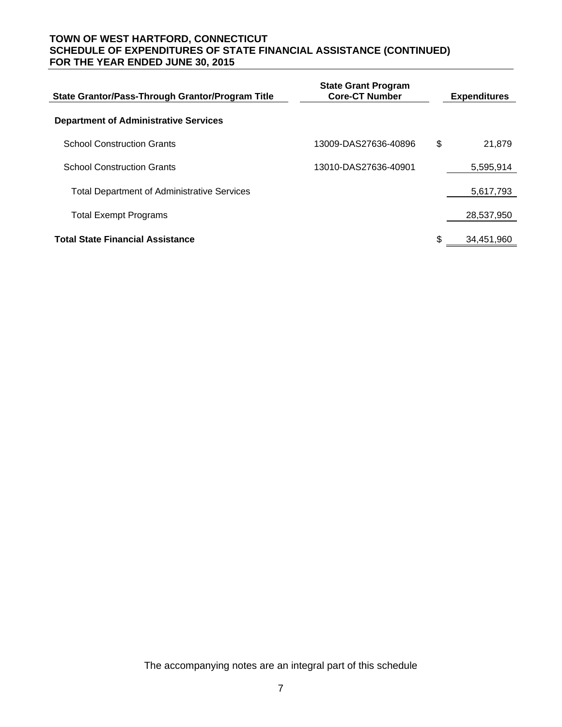# **TOWN OF WEST HARTFORD, CONNECTICUT SCHEDULE OF EXPENDITURES OF STATE FINANCIAL ASSISTANCE (CONTINUED) FOR THE YEAR ENDED JUNE 30, 2015**

| State Grantor/Pass-Through Grantor/Program Title   | <b>State Grant Program</b><br><b>Core-CT Number</b> | <b>Expenditures</b> |
|----------------------------------------------------|-----------------------------------------------------|---------------------|
| <b>Department of Administrative Services</b>       |                                                     |                     |
| <b>School Construction Grants</b>                  | 13009-DAS27636-40896                                | \$<br>21,879        |
| <b>School Construction Grants</b>                  | 13010-DAS27636-40901                                | 5,595,914           |
| <b>Total Department of Administrative Services</b> |                                                     | 5,617,793           |
| <b>Total Exempt Programs</b>                       |                                                     | 28,537,950          |
| <b>Total State Financial Assistance</b>            |                                                     | \$<br>34,451,960    |

The accompanying notes are an integral part of this schedule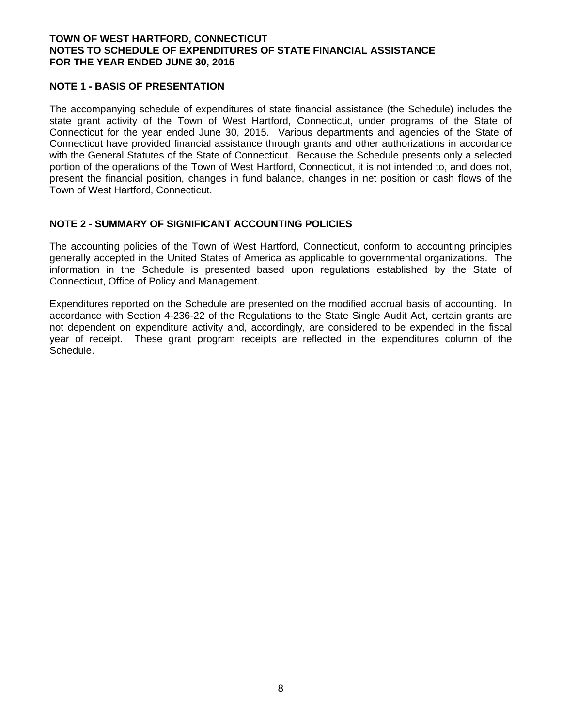# **NOTE 1 - BASIS OF PRESENTATION**

The accompanying schedule of expenditures of state financial assistance (the Schedule) includes the state grant activity of the Town of West Hartford, Connecticut, under programs of the State of Connecticut for the year ended June 30, 2015. Various departments and agencies of the State of Connecticut have provided financial assistance through grants and other authorizations in accordance with the General Statutes of the State of Connecticut. Because the Schedule presents only a selected portion of the operations of the Town of West Hartford, Connecticut, it is not intended to, and does not, present the financial position, changes in fund balance, changes in net position or cash flows of the Town of West Hartford, Connecticut.

# **NOTE 2 - SUMMARY OF SIGNIFICANT ACCOUNTING POLICIES**

The accounting policies of the Town of West Hartford, Connecticut, conform to accounting principles generally accepted in the United States of America as applicable to governmental organizations. The information in the Schedule is presented based upon regulations established by the State of Connecticut, Office of Policy and Management.

Expenditures reported on the Schedule are presented on the modified accrual basis of accounting. In accordance with Section 4-236-22 of the Regulations to the State Single Audit Act, certain grants are not dependent on expenditure activity and, accordingly, are considered to be expended in the fiscal year of receipt. These grant program receipts are reflected in the expenditures column of the Schedule.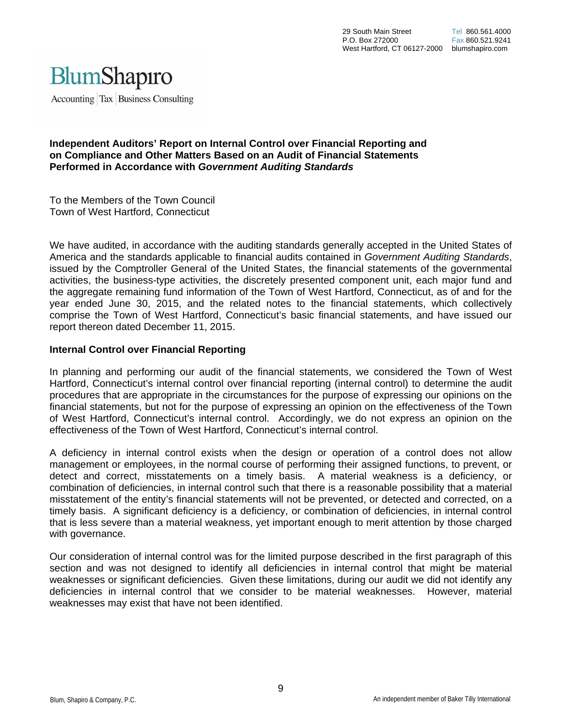

Accounting Tax Business Consulting

#### **Independent Auditors' Report on Internal Control over Financial Reporting and on Compliance and Other Matters Based on an Audit of Financial Statements Performed in Accordance with** *Government Auditing Standards*

To the Members of the Town Council Town of West Hartford, Connecticut

We have audited, in accordance with the auditing standards generally accepted in the United States of America and the standards applicable to financial audits contained in *Government Auditing Standards*, issued by the Comptroller General of the United States, the financial statements of the governmental activities, the business-type activities, the discretely presented component unit, each major fund and the aggregate remaining fund information of the Town of West Hartford, Connecticut, as of and for the year ended June 30, 2015, and the related notes to the financial statements, which collectively comprise the Town of West Hartford, Connecticut's basic financial statements, and have issued our report thereon dated December 11, 2015.

#### **Internal Control over Financial Reporting**

In planning and performing our audit of the financial statements, we considered the Town of West Hartford, Connecticut's internal control over financial reporting (internal control) to determine the audit procedures that are appropriate in the circumstances for the purpose of expressing our opinions on the financial statements, but not for the purpose of expressing an opinion on the effectiveness of the Town of West Hartford, Connecticut's internal control. Accordingly, we do not express an opinion on the effectiveness of the Town of West Hartford, Connecticut's internal control.

A deficiency in internal control exists when the design or operation of a control does not allow management or employees, in the normal course of performing their assigned functions, to prevent, or detect and correct, misstatements on a timely basis. A material weakness is a deficiency, or combination of deficiencies, in internal control such that there is a reasonable possibility that a material misstatement of the entity's financial statements will not be prevented, or detected and corrected, on a timely basis. A significant deficiency is a deficiency, or combination of deficiencies, in internal control that is less severe than a material weakness, yet important enough to merit attention by those charged with governance.

Our consideration of internal control was for the limited purpose described in the first paragraph of this section and was not designed to identify all deficiencies in internal control that might be material weaknesses or significant deficiencies. Given these limitations, during our audit we did not identify any deficiencies in internal control that we consider to be material weaknesses. However, material weaknesses may exist that have not been identified.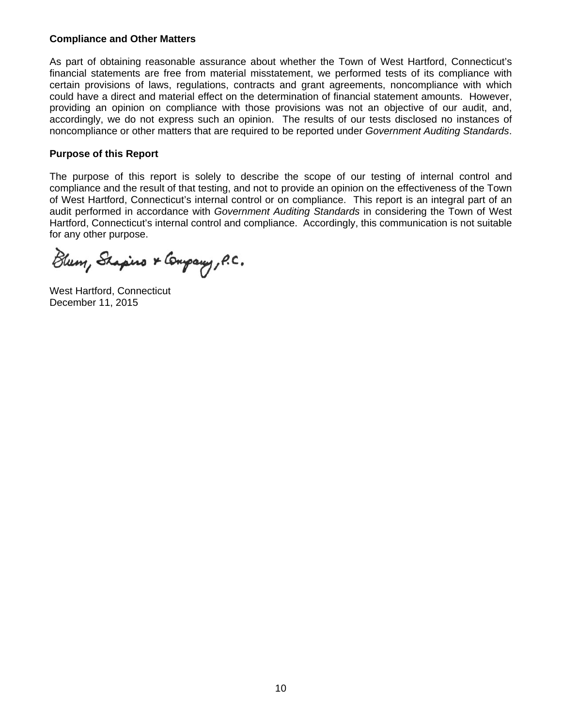#### **Compliance and Other Matters**

As part of obtaining reasonable assurance about whether the Town of West Hartford, Connecticut's financial statements are free from material misstatement, we performed tests of its compliance with certain provisions of laws, regulations, contracts and grant agreements, noncompliance with which could have a direct and material effect on the determination of financial statement amounts. However, providing an opinion on compliance with those provisions was not an objective of our audit, and, accordingly, we do not express such an opinion. The results of our tests disclosed no instances of noncompliance or other matters that are required to be reported under *Government Auditing Standards*.

## **Purpose of this Report**

The purpose of this report is solely to describe the scope of our testing of internal control and compliance and the result of that testing, and not to provide an opinion on the effectiveness of the Town of West Hartford, Connecticut's internal control or on compliance. This report is an integral part of an audit performed in accordance with *Government Auditing Standards* in considering the Town of West Hartford, Connecticut's internal control and compliance. Accordingly, this communication is not suitable for any other purpose.

Blum, Shapino & Company, P.C.

West Hartford, Connecticut December 11, 2015